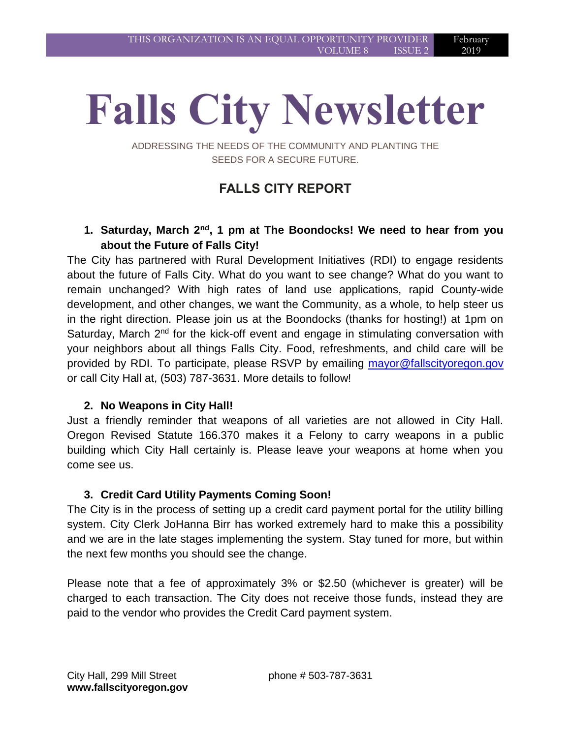# **Falls City Newsletter**

ADDRESSING THE NEEDS OF THE COMMUNITY AND PLANTING THE SEEDS FOR A SECURE FUTURE.

# **FALLS CITY REPORT**

### **1. Saturday, March 2nd, 1 pm at The Boondocks! We need to hear from you about the Future of Falls City!**

The City has partnered with Rural Development Initiatives (RDI) to engage residents about the future of Falls City. What do you want to see change? What do you want to remain unchanged? With high rates of land use applications, rapid County-wide development, and other changes, we want the Community, as a whole, to help steer us in the right direction. Please join us at the Boondocks (thanks for hosting!) at 1pm on Saturday, March  $2<sup>nd</sup>$  for the kick-off event and engage in stimulating conversation with your neighbors about all things Falls City. Food, refreshments, and child care will be provided by RDI. To participate, please RSVP by emailing [mayor@fallscityoregon.gov](mailto:mayor@fallscityoregon.gov) or call City Hall at, (503) 787-3631. More details to follow!

#### **2. No Weapons in City Hall!**

Just a friendly reminder that weapons of all varieties are not allowed in City Hall. Oregon Revised Statute 166.370 makes it a Felony to carry weapons in a public building which City Hall certainly is. Please leave your weapons at home when you come see us.

#### **3. Credit Card Utility Payments Coming Soon!**

The City is in the process of setting up a credit card payment portal for the utility billing system. City Clerk JoHanna Birr has worked extremely hard to make this a possibility and we are in the late stages implementing the system. Stay tuned for more, but within the next few months you should see the change.

Please note that a fee of approximately 3% or \$2.50 (whichever is greater) will be charged to each transaction. The City does not receive those funds, instead they are paid to the vendor who provides the Credit Card payment system.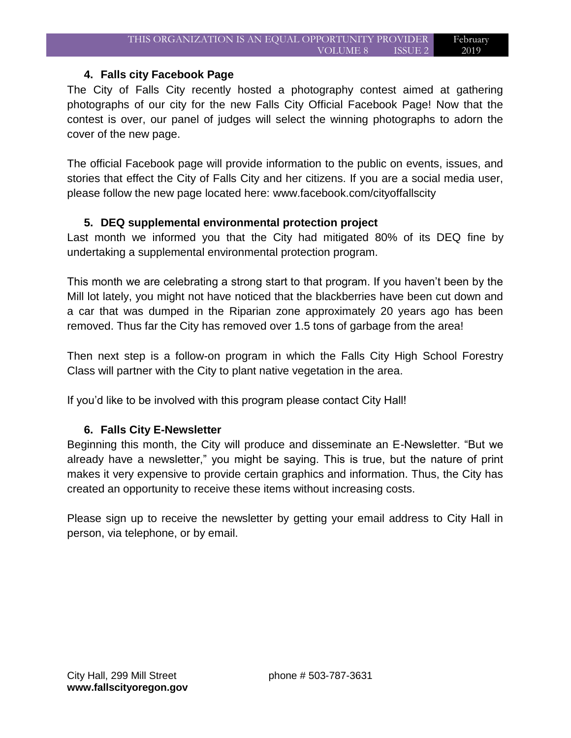#### **4. Falls city Facebook Page**

The City of Falls City recently hosted a photography contest aimed at gathering photographs of our city for the new Falls City Official Facebook Page! Now that the contest is over, our panel of judges will select the winning photographs to adorn the cover of the new page.

The official Facebook page will provide information to the public on events, issues, and stories that effect the City of Falls City and her citizens. If you are a social media user, please follow the new page located here: www.facebook.com/cityoffallscity

#### **5. DEQ supplemental environmental protection project**

Last month we informed you that the City had mitigated 80% of its DEQ fine by undertaking a supplemental environmental protection program.

This month we are celebrating a strong start to that program. If you haven't been by the Mill lot lately, you might not have noticed that the blackberries have been cut down and a car that was dumped in the Riparian zone approximately 20 years ago has been removed. Thus far the City has removed over 1.5 tons of garbage from the area!

Then next step is a follow-on program in which the Falls City High School Forestry Class will partner with the City to plant native vegetation in the area.

If you'd like to be involved with this program please contact City Hall!

#### **6. Falls City E-Newsletter**

Beginning this month, the City will produce and disseminate an E-Newsletter. "But we already have a newsletter," you might be saying. This is true, but the nature of print makes it very expensive to provide certain graphics and information. Thus, the City has created an opportunity to receive these items without increasing costs.

Please sign up to receive the newsletter by getting your email address to City Hall in person, via telephone, or by email.